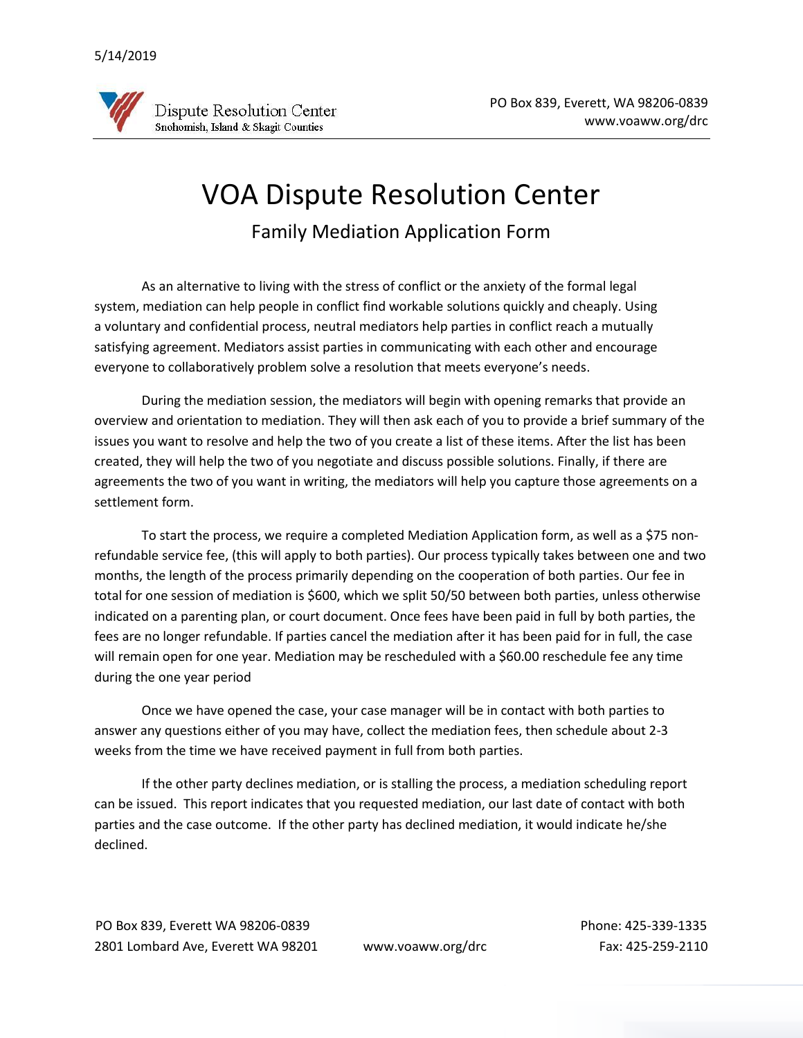

## VOA Dispute Resolution Center

Family Mediation Application Form

As an alternative to living with the stress of conflict or the anxiety of the formal legal system, mediation can help people in conflict find workable solutions quickly and cheaply. Using a voluntary and confidential process, neutral mediators help parties in conflict reach a mutually satisfying agreement. Mediators assist parties in communicating with each other and encourage everyone to collaboratively problem solve a resolution that meets everyone's needs.

During the mediation session, the mediators will begin with opening remarks that provide an overview and orientation to mediation. They will then ask each of you to provide a brief summary of the issues you want to resolve and help the two of you create a list of these items. After the list has been created, they will help the two of you negotiate and discuss possible solutions. Finally, if there are agreements the two of you want in writing, the mediators will help you capture those agreements on a settlement form.

To start the process, we require a completed Mediation Application form, as well as a \$75 nonrefundable service fee, (this will apply to both parties). Our process typically takes between one and two months, the length of the process primarily depending on the cooperation of both parties. Our fee in total for one session of mediation is \$600, which we split 50/50 between both parties, unless otherwise indicated on a parenting plan, or court document. Once fees have been paid in full by both parties, the fees are no longer refundable. If parties cancel the mediation after it has been paid for in full, the case will remain open for one year. Mediation may be rescheduled with a \$60.00 reschedule fee any time during the one year period

Once we have opened the case, your case manager will be in contact with both parties to answer any questions either of you may have, collect the mediation fees, then schedule about 2-3 weeks from the time we have received payment in full from both parties.

If the other party declines mediation, or is stalling the process, a mediation scheduling report can be issued. This report indicates that you requested mediation, our last date of contact with both parties and the case outcome. If the other party has declined mediation, it would indicate he/she declined.

PO Box 839, Everett WA 98206-0839 Phone: 425-339-1335 2801 Lombard Ave, Everett WA 98201 www.voaww.org/drc Fax: 425-259-2110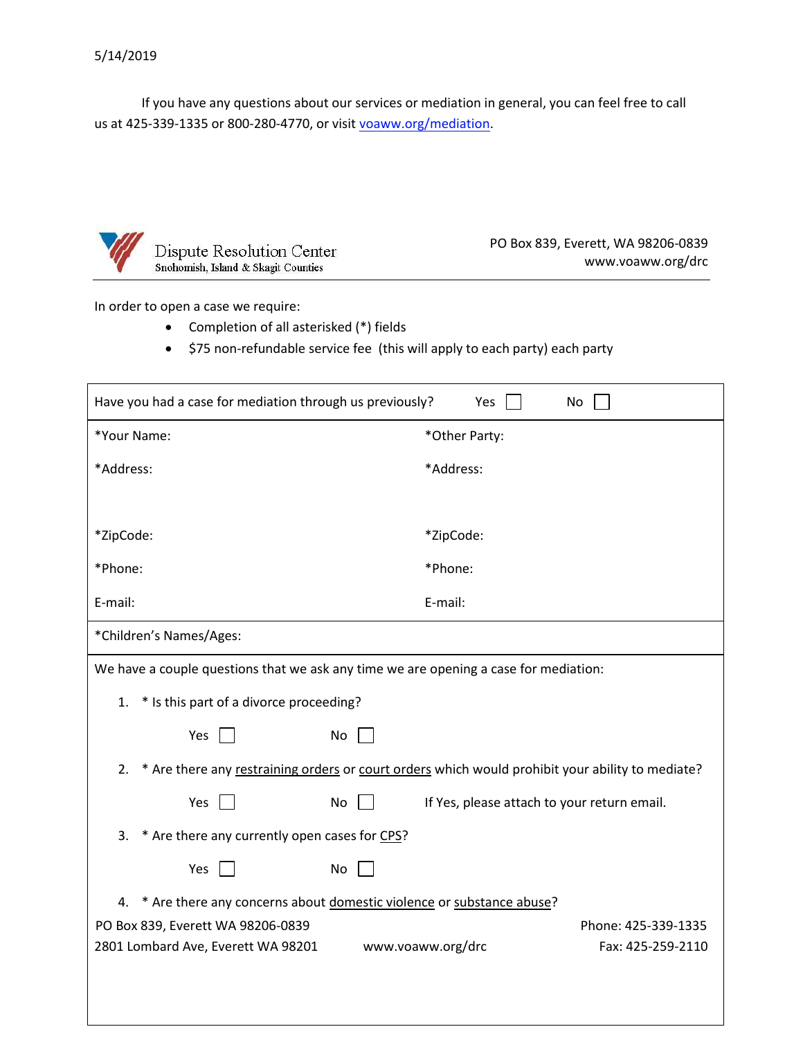If you have any questions about our services or mediation in general, you can feel free to call us at 425-339-1335 or 800-280-4770, or visit [v](https://www.voaww.org/mediation)[oaww.org/mediation.](http://www.voaww.org/Get-Help/Dispute-Resolution-Services/MediationFacilitation/I-Want-to-Schedule)



PO Box 839, Everett, WA 98206-0839 www.voaww.org/drc

In order to open a case we require:

- Completion of all asterisked (\*) fields
- \$75 non-refundable service fee (this will apply to each party) each party

| Have you had a case for mediation through us previously?<br>Yes<br>No                                  |                                                               |  |  |  |
|--------------------------------------------------------------------------------------------------------|---------------------------------------------------------------|--|--|--|
| *Your Name:                                                                                            | *Other Party:                                                 |  |  |  |
| *Address:                                                                                              | *Address:                                                     |  |  |  |
|                                                                                                        |                                                               |  |  |  |
| *ZipCode:                                                                                              | *ZipCode:                                                     |  |  |  |
| *Phone:                                                                                                | *Phone:                                                       |  |  |  |
| E-mail:                                                                                                | E-mail:                                                       |  |  |  |
| *Children's Names/Ages:                                                                                |                                                               |  |  |  |
| We have a couple questions that we ask any time we are opening a case for mediation:                   |                                                               |  |  |  |
| * Is this part of a divorce proceeding?<br>1.                                                          |                                                               |  |  |  |
| Yes<br>No                                                                                              |                                                               |  |  |  |
| * Are there any restraining orders or court orders which would prohibit your ability to mediate?<br>2. |                                                               |  |  |  |
| Yes<br>No                                                                                              | If Yes, please attach to your return email.                   |  |  |  |
| * Are there any currently open cases for CPS?<br>3.                                                    |                                                               |  |  |  |
| Yes<br>No                                                                                              |                                                               |  |  |  |
| * Are there any concerns about domestic violence or substance abuse?<br>4.                             |                                                               |  |  |  |
| PO Box 839, Everett WA 98206-0839                                                                      | Phone: 425-339-1335<br>www.voaww.org/drc<br>Fax: 425-259-2110 |  |  |  |
| 2801 Lombard Ave, Everett WA 98201                                                                     |                                                               |  |  |  |
|                                                                                                        |                                                               |  |  |  |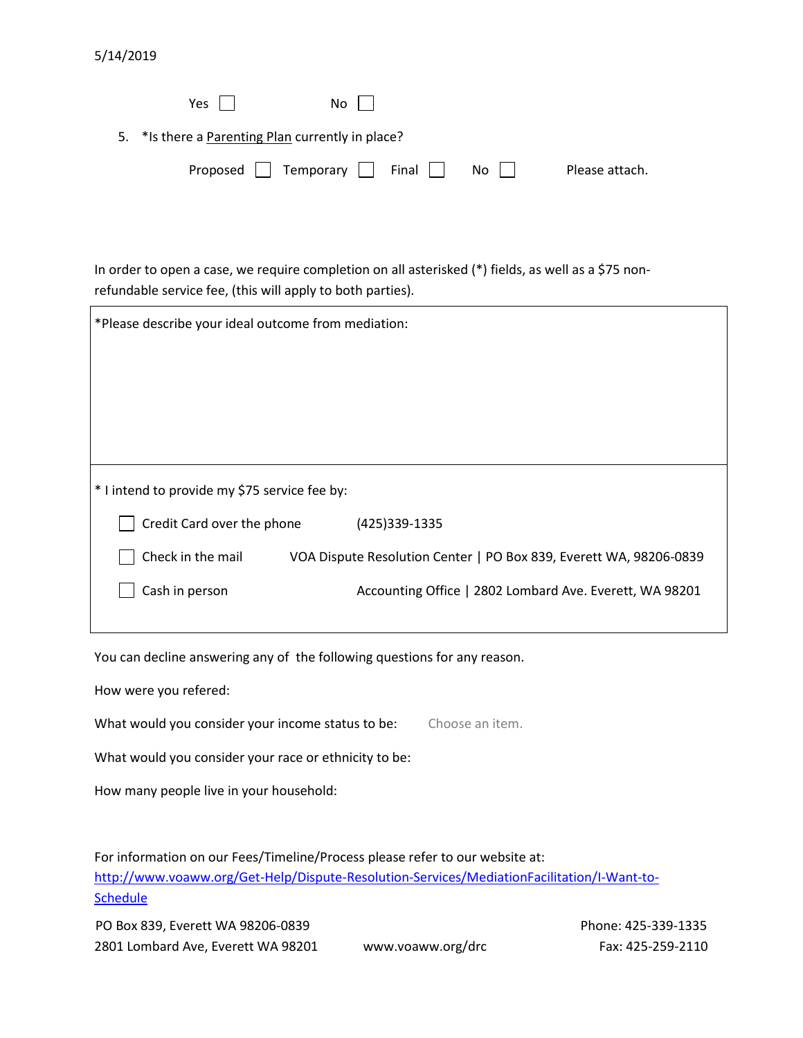| 5/14/2019 |  |
|-----------|--|
|-----------|--|

| $Yes$                                              | No l                                             |                      |                |
|----------------------------------------------------|--------------------------------------------------|----------------------|----------------|
| 5. * Is there a Parenting Plan currently in place? |                                                  |                      |                |
|                                                    | Proposed $\vert$ Temporary $\vert$ Final $\vert$ | $No$ $\vert$ $\vert$ | Please attach. |

In order to open a case, we require completion on all asterisked (\*) fields, as well as a \$75 nonrefundable service fee, (this will apply to both parties).

| *Please describe your ideal outcome from mediation: |                                                                    |  |  |  |
|-----------------------------------------------------|--------------------------------------------------------------------|--|--|--|
|                                                     |                                                                    |  |  |  |
|                                                     |                                                                    |  |  |  |
|                                                     |                                                                    |  |  |  |
|                                                     |                                                                    |  |  |  |
| * I intend to provide my \$75 service fee by:       |                                                                    |  |  |  |
| Credit Card over the phone                          | (425)339-1335                                                      |  |  |  |
| Check in the mail                                   | VOA Dispute Resolution Center   PO Box 839, Everett WA, 98206-0839 |  |  |  |
| Cash in person                                      | Accounting Office   2802 Lombard Ave. Everett, WA 98201            |  |  |  |
|                                                     |                                                                    |  |  |  |

You can decline answering any of the following questions for any reason.

How were you refered:

What would you consider your income status to be: Choose an item.

What would you consider your race or ethnicity to be:

How many people live in your household:

For information on our Fees/Timeline/Process please refer to our website at: [http://www.voaww.org/Get-Help/Dispute-Resolution-Services/MediationFacilitation/I-Want-to-](http://www.voaww.org/Get-Help/Dispute-Resolution-Services/MediationFacilitation/I-Want-to-Schedule)**[Schedule](http://www.voaww.org/Get-Help/Dispute-Resolution-Services/MediationFacilitation/I-Want-to-Schedule)** 

PO Box 839, Everett WA 98206-0839 Phone: 425-339-1335 2801 Lombard Ave, Everett WA 98201 www.voaww.org/drc Fax: 425-259-2110